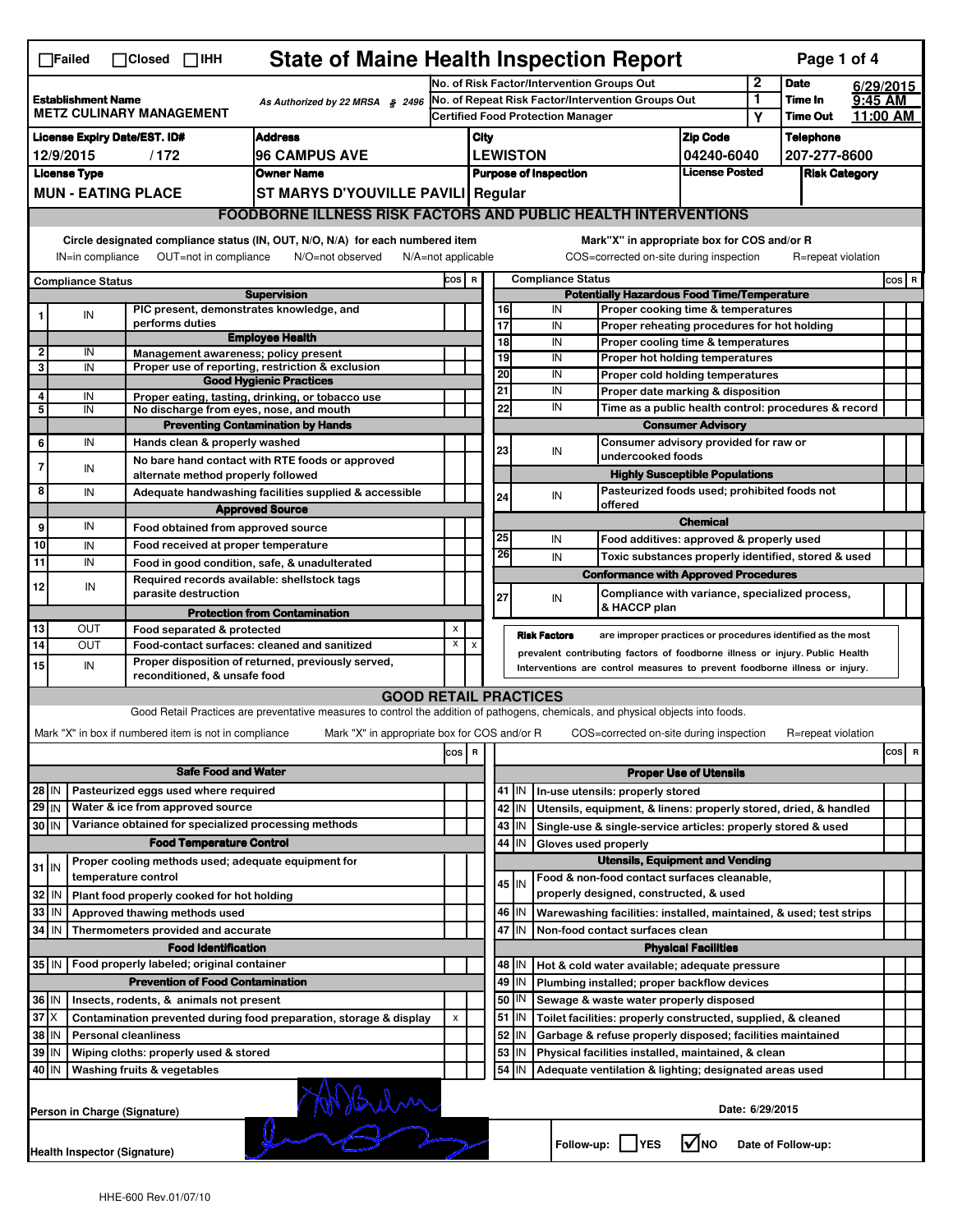|                                                                                                                                                                           | <b>State of Maine Health Inspection Report</b><br>Page 1 of 4<br>$\Box$ Failed<br>$\Box$ Closed $\Box$ IHH                                                             |                             |                                                                          |                                                                                                                                                                   |                                                   |                                                                              |                                                                              |                          |                                                               |                                                                                                                                  |                 |                           |                    |                    |   |  |
|---------------------------------------------------------------------------------------------------------------------------------------------------------------------------|------------------------------------------------------------------------------------------------------------------------------------------------------------------------|-----------------------------|--------------------------------------------------------------------------|-------------------------------------------------------------------------------------------------------------------------------------------------------------------|---------------------------------------------------|------------------------------------------------------------------------------|------------------------------------------------------------------------------|--------------------------|---------------------------------------------------------------|----------------------------------------------------------------------------------------------------------------------------------|-----------------|---------------------------|--------------------|--------------------|---|--|
|                                                                                                                                                                           |                                                                                                                                                                        |                             |                                                                          |                                                                                                                                                                   |                                                   | 2<br>No. of Risk Factor/Intervention Groups Out                              |                                                                              |                          |                                                               |                                                                                                                                  |                 | <b>Date</b>               | 6/29/2015          |                    |   |  |
| <b>Establishment Name</b><br>As Authorized by 22 MRSA § 2496<br><b>METZ CULINARY MANAGEMENT</b>                                                                           |                                                                                                                                                                        |                             |                                                                          |                                                                                                                                                                   | No. of Repeat Risk Factor/Intervention Groups Out |                                                                              |                                                                              |                          |                                                               | 1                                                                                                                                | Time In         | 9:45 AM                   |                    |                    |   |  |
| <b>License Expiry Date/EST. ID#</b><br><b>Address</b>                                                                                                                     |                                                                                                                                                                        |                             |                                                                          |                                                                                                                                                                   |                                                   | <b>Certified Food Protection Manager</b>                                     |                                                                              |                          |                                                               |                                                                                                                                  | Υ               | Time Out                  | 11:00 AM           |                    |   |  |
| <b>96 CAMPUS AVE</b><br>12/9/2015<br>/172                                                                                                                                 |                                                                                                                                                                        |                             |                                                                          |                                                                                                                                                                   |                                                   | City<br><b>LEWISTON</b>                                                      |                                                                              |                          |                                                               | <b>Zip Code</b><br>04240-6040                                                                                                    |                 | Telephone<br>207-277-8600 |                    |                    |   |  |
| <b>Owner Name</b><br><b>License Type</b>                                                                                                                                  |                                                                                                                                                                        |                             |                                                                          |                                                                                                                                                                   |                                                   | License Posted<br><b>Purpose of Inspection</b>                               |                                                                              |                          |                                                               |                                                                                                                                  |                 | <b>Risk Category</b>      |                    |                    |   |  |
| <b>MUN - EATING PLACE</b><br>ST MARYS D'YOUVILLE PAVILI Regular                                                                                                           |                                                                                                                                                                        |                             |                                                                          |                                                                                                                                                                   |                                                   |                                                                              |                                                                              |                          |                                                               |                                                                                                                                  |                 |                           |                    |                    |   |  |
|                                                                                                                                                                           | <b>FOODBORNE ILLNESS RISK FACTORS AND PUBLIC HEALTH INTERVENTIONS</b>                                                                                                  |                             |                                                                          |                                                                                                                                                                   |                                                   |                                                                              |                                                                              |                          |                                                               |                                                                                                                                  |                 |                           |                    |                    |   |  |
| Circle designated compliance status (IN, OUT, N/O, N/A) for each numbered item<br>OUT=not in compliance<br>IN=in compliance<br>N/O=not observed<br>$N/A = not$ applicable |                                                                                                                                                                        |                             |                                                                          |                                                                                                                                                                   |                                                   |                                                                              |                                                                              |                          |                                                               | Mark"X" in appropriate box for COS and/or R                                                                                      |                 |                           |                    | R=repeat violation |   |  |
|                                                                                                                                                                           |                                                                                                                                                                        |                             |                                                                          |                                                                                                                                                                   |                                                   | COS=corrected on-site during inspection<br><b>Compliance Status</b><br>COS R |                                                                              |                          |                                                               |                                                                                                                                  |                 |                           |                    | $cos$ R            |   |  |
| <b>Compliance Status</b><br><b>Supervision</b>                                                                                                                            |                                                                                                                                                                        |                             |                                                                          |                                                                                                                                                                   |                                                   |                                                                              | <b>Potentially Hazardous Food Time/Temperature</b>                           |                          |                                                               |                                                                                                                                  |                 |                           |                    |                    |   |  |
|                                                                                                                                                                           | IN                                                                                                                                                                     |                             |                                                                          | PIC present, demonstrates knowledge, and                                                                                                                          |                                                   |                                                                              | 16                                                                           |                          | IN                                                            | Proper cooking time & temperatures                                                                                               |                 |                           |                    |                    |   |  |
|                                                                                                                                                                           |                                                                                                                                                                        |                             | performs duties                                                          | <b>Employee Health</b>                                                                                                                                            |                                                   |                                                                              | 17<br>$\overline{18}$                                                        |                          | IN<br>IN                                                      | Proper reheating procedures for hot holding                                                                                      |                 |                           |                    |                    |   |  |
| $\overline{2}$                                                                                                                                                            | IN                                                                                                                                                                     |                             |                                                                          | Management awareness; policy present                                                                                                                              |                                                   |                                                                              | 19                                                                           |                          | IN                                                            | Proper cooling time & temperatures<br>Proper hot holding temperatures                                                            |                 |                           |                    |                    |   |  |
| 3                                                                                                                                                                         | IN                                                                                                                                                                     |                             |                                                                          | Proper use of reporting, restriction & exclusion                                                                                                                  |                                                   |                                                                              | 20                                                                           |                          | IN                                                            | Proper cold holding temperatures                                                                                                 |                 |                           |                    |                    |   |  |
| 4                                                                                                                                                                         | IN                                                                                                                                                                     |                             |                                                                          | <b>Good Hygienic Practices</b><br>Proper eating, tasting, drinking, or tobacco use                                                                                |                                                   |                                                                              | 21                                                                           |                          | IN                                                            | Proper date marking & disposition                                                                                                |                 |                           |                    |                    |   |  |
| 5                                                                                                                                                                         | IN                                                                                                                                                                     |                             |                                                                          | No discharge from eyes, nose, and mouth                                                                                                                           |                                                   |                                                                              | 22                                                                           |                          | IN                                                            | Time as a public health control: procedures & record                                                                             |                 |                           |                    |                    |   |  |
|                                                                                                                                                                           |                                                                                                                                                                        |                             |                                                                          | <b>Preventing Contamination by Hands</b>                                                                                                                          |                                                   |                                                                              |                                                                              |                          | <b>Consumer Advisory</b>                                      |                                                                                                                                  |                 |                           |                    |                    |   |  |
| 6                                                                                                                                                                         | IN                                                                                                                                                                     |                             | Hands clean & properly washed                                            |                                                                                                                                                                   |                                                   |                                                                              | 23                                                                           |                          |                                                               | Consumer advisory provided for raw or<br>IN<br>undercooked foods                                                                 |                 |                           |                    |                    |   |  |
| $\overline{7}$                                                                                                                                                            | IN                                                                                                                                                                     |                             |                                                                          | No bare hand contact with RTE foods or approved                                                                                                                   |                                                   |                                                                              |                                                                              |                          |                                                               | <b>Highly Susceptible Populations</b>                                                                                            |                 |                           |                    |                    |   |  |
| 8                                                                                                                                                                         | IN                                                                                                                                                                     |                             | alternate method properly followed                                       | Adequate handwashing facilities supplied & accessible                                                                                                             |                                                   |                                                                              |                                                                              |                          |                                                               |                                                                                                                                  |                 |                           |                    |                    |   |  |
|                                                                                                                                                                           |                                                                                                                                                                        |                             |                                                                          | <b>Approved Source</b>                                                                                                                                            |                                                   |                                                                              | 24                                                                           |                          | Pasteurized foods used; prohibited foods not<br>IN<br>offered |                                                                                                                                  |                 |                           |                    |                    |   |  |
| 9                                                                                                                                                                         | IN                                                                                                                                                                     |                             | Food obtained from approved source                                       |                                                                                                                                                                   |                                                   |                                                                              |                                                                              |                          |                                                               |                                                                                                                                  | <b>Chemical</b> |                           |                    |                    |   |  |
| 10                                                                                                                                                                        | IN                                                                                                                                                                     |                             | Food received at proper temperature                                      |                                                                                                                                                                   |                                                   |                                                                              | 25                                                                           |                          | IN                                                            | Food additives: approved & properly used                                                                                         |                 |                           |                    |                    |   |  |
| 11                                                                                                                                                                        | IN                                                                                                                                                                     |                             |                                                                          | Food in good condition, safe, & unadulterated                                                                                                                     |                                                   |                                                                              | 26                                                                           |                          | IN                                                            | Toxic substances properly identified, stored & used                                                                              |                 |                           |                    |                    |   |  |
| 12                                                                                                                                                                        | IN                                                                                                                                                                     |                             | parasite destruction                                                     | Required records available: shellstock tags                                                                                                                       |                                                   |                                                                              | 27                                                                           |                          | IN                                                            | <b>Conformance with Approved Procedures</b><br>Compliance with variance, specialized process,                                    |                 |                           |                    |                    |   |  |
|                                                                                                                                                                           |                                                                                                                                                                        |                             |                                                                          | <b>Protection from Contamination</b>                                                                                                                              |                                                   |                                                                              |                                                                              |                          |                                                               | & HACCP plan                                                                                                                     |                 |                           |                    |                    |   |  |
| 13                                                                                                                                                                        | OUT                                                                                                                                                                    |                             | Food separated & protected                                               |                                                                                                                                                                   | X                                                 |                                                                              |                                                                              |                          | <b>Risk Factors</b>                                           | are improper practices or procedures identified as the most                                                                      |                 |                           |                    |                    |   |  |
| 14                                                                                                                                                                        | <b>OUT</b>                                                                                                                                                             |                             |                                                                          | Food-contact surfaces: cleaned and sanitized                                                                                                                      | X                                                 | X                                                                            | prevalent contributing factors of foodborne illness or injury. Public Health |                          |                                                               |                                                                                                                                  |                 |                           |                    |                    |   |  |
| 15                                                                                                                                                                        | Proper disposition of returned, previously served,<br>IN<br>Interventions are control measures to prevent foodborne illness or injury.<br>reconditioned, & unsafe food |                             |                                                                          |                                                                                                                                                                   |                                                   |                                                                              |                                                                              |                          |                                                               |                                                                                                                                  |                 |                           |                    |                    |   |  |
|                                                                                                                                                                           |                                                                                                                                                                        |                             |                                                                          | <b>GOOD RETAIL PRACTICES</b><br>Good Retail Practices are preventative measures to control the addition of pathogens, chemicals, and physical objects into foods. |                                                   |                                                                              |                                                                              |                          |                                                               |                                                                                                                                  |                 |                           |                    |                    |   |  |
|                                                                                                                                                                           |                                                                                                                                                                        |                             |                                                                          |                                                                                                                                                                   |                                                   |                                                                              |                                                                              |                          |                                                               |                                                                                                                                  |                 |                           |                    |                    |   |  |
|                                                                                                                                                                           |                                                                                                                                                                        |                             | Mark "X" in box if numbered item is not in compliance                    | Mark "X" in appropriate box for COS and/or R                                                                                                                      |                                                   |                                                                              |                                                                              |                          |                                                               | COS=corrected on-site during inspection                                                                                          |                 |                           | R=repeat violation |                    |   |  |
|                                                                                                                                                                           |                                                                                                                                                                        |                             |                                                                          |                                                                                                                                                                   | $\cos$                                            | R                                                                            |                                                                              |                          |                                                               |                                                                                                                                  |                 |                           |                    | cos                | R |  |
| <b>Safe Food and Water</b>                                                                                                                                                |                                                                                                                                                                        |                             |                                                                          |                                                                                                                                                                   |                                                   |                                                                              | <b>Proper Use of Utensils</b>                                                |                          |                                                               |                                                                                                                                  |                 |                           |                    |                    |   |  |
| 28 IN<br>$29$ IN                                                                                                                                                          |                                                                                                                                                                        |                             | Pasteurized eggs used where required<br>Water & ice from approved source |                                                                                                                                                                   |                                                   |                                                                              |                                                                              | 41 J IN                  |                                                               | In-use utensils: properly stored                                                                                                 |                 |                           |                    |                    |   |  |
| 30 IN                                                                                                                                                                     |                                                                                                                                                                        |                             |                                                                          | Variance obtained for specialized processing methods                                                                                                              |                                                   |                                                                              |                                                                              | 42   IN<br>$43$   IN     |                                                               | Utensils, equipment, & linens: properly stored, dried, & handled<br>Single-use & single-service articles: properly stored & used |                 |                           |                    |                    |   |  |
|                                                                                                                                                                           |                                                                                                                                                                        |                             | <b>Food Temperature Control</b>                                          |                                                                                                                                                                   |                                                   |                                                                              |                                                                              | 44   IN                  | Gloves used properly                                          |                                                                                                                                  |                 |                           |                    |                    |   |  |
|                                                                                                                                                                           |                                                                                                                                                                        |                             |                                                                          | Proper cooling methods used; adequate equipment for                                                                                                               |                                                   |                                                                              |                                                                              |                          |                                                               | <b>Utensils, Equipment and Vending</b>                                                                                           |                 |                           |                    |                    |   |  |
| $31$ IN                                                                                                                                                                   |                                                                                                                                                                        | temperature control         |                                                                          |                                                                                                                                                                   |                                                   |                                                                              |                                                                              | 45 IN                    |                                                               | Food & non-food contact surfaces cleanable,                                                                                      |                 |                           |                    |                    |   |  |
| 32                                                                                                                                                                        | l IN                                                                                                                                                                   |                             | Plant food properly cooked for hot holding                               |                                                                                                                                                                   |                                                   |                                                                              |                                                                              |                          |                                                               | properly designed, constructed, & used                                                                                           |                 |                           |                    |                    |   |  |
| 33                                                                                                                                                                        | IN                                                                                                                                                                     |                             | Approved thawing methods used                                            |                                                                                                                                                                   |                                                   |                                                                              |                                                                              | 46 IN                    |                                                               | Warewashing facilities: installed, maintained, & used; test strips                                                               |                 |                           |                    |                    |   |  |
| 34                                                                                                                                                                        | IN                                                                                                                                                                     |                             | Thermometers provided and accurate                                       |                                                                                                                                                                   |                                                   |                                                                              | 47<br>İΙN<br>Non-food contact surfaces clean                                 |                          |                                                               |                                                                                                                                  |                 |                           |                    |                    |   |  |
|                                                                                                                                                                           |                                                                                                                                                                        |                             | <b>Food Identification</b>                                               |                                                                                                                                                                   |                                                   |                                                                              | <b>Physical Facilities</b>                                                   |                          |                                                               |                                                                                                                                  |                 |                           |                    |                    |   |  |
|                                                                                                                                                                           |                                                                                                                                                                        |                             | 35 IN   Food properly labeled; original container                        |                                                                                                                                                                   |                                                   |                                                                              |                                                                              | 48   IN                  |                                                               | Hot & cold water available; adequate pressure                                                                                    |                 |                           |                    |                    |   |  |
|                                                                                                                                                                           |                                                                                                                                                                        |                             | <b>Prevention of Food Contamination</b>                                  |                                                                                                                                                                   |                                                   |                                                                              |                                                                              | 49 IN                    |                                                               | Plumbing installed; proper backflow devices                                                                                      |                 |                           |                    |                    |   |  |
| 36 IN<br>$37$ $\times$                                                                                                                                                    |                                                                                                                                                                        |                             | Insects, rodents, & animals not present                                  |                                                                                                                                                                   |                                                   |                                                                              |                                                                              | 50   IN                  |                                                               | Sewage & waste water properly disposed                                                                                           |                 |                           |                    |                    |   |  |
| 38 IN                                                                                                                                                                     |                                                                                                                                                                        | <b>Personal cleanliness</b> |                                                                          | Contamination prevented during food preparation, storage & display                                                                                                | X                                                 |                                                                              |                                                                              | $51$ $\vert$ IN<br>52 IN |                                                               | Toilet facilities: properly constructed, supplied, & cleaned<br>Garbage & refuse properly disposed; facilities maintained        |                 |                           |                    |                    |   |  |
| 39 IN                                                                                                                                                                     |                                                                                                                                                                        |                             | Wiping cloths: properly used & stored                                    |                                                                                                                                                                   |                                                   |                                                                              |                                                                              | 53 IN                    |                                                               | Physical facilities installed, maintained, & clean                                                                               |                 |                           |                    |                    |   |  |
| l IN<br>40                                                                                                                                                                |                                                                                                                                                                        | Washing fruits & vegetables |                                                                          |                                                                                                                                                                   |                                                   |                                                                              |                                                                              | 54 IN                    |                                                               | Adequate ventilation & lighting; designated areas used                                                                           |                 |                           |                    |                    |   |  |
|                                                                                                                                                                           |                                                                                                                                                                        |                             |                                                                          |                                                                                                                                                                   |                                                   |                                                                              |                                                                              |                          |                                                               |                                                                                                                                  |                 |                           |                    |                    |   |  |
|                                                                                                                                                                           | Misium<br>Date: 6/29/2015<br>Person in Charge (Signature)<br>$\sqrt{ }$ NO<br>Follow-up:     YES<br>Date of Follow-up:                                                 |                             |                                                                          |                                                                                                                                                                   |                                                   |                                                                              |                                                                              |                          |                                                               |                                                                                                                                  |                 |                           |                    |                    |   |  |
|                                                                                                                                                                           | Health Inspector (Signature)                                                                                                                                           |                             |                                                                          |                                                                                                                                                                   |                                                   |                                                                              |                                                                              |                          |                                                               |                                                                                                                                  |                 |                           |                    |                    |   |  |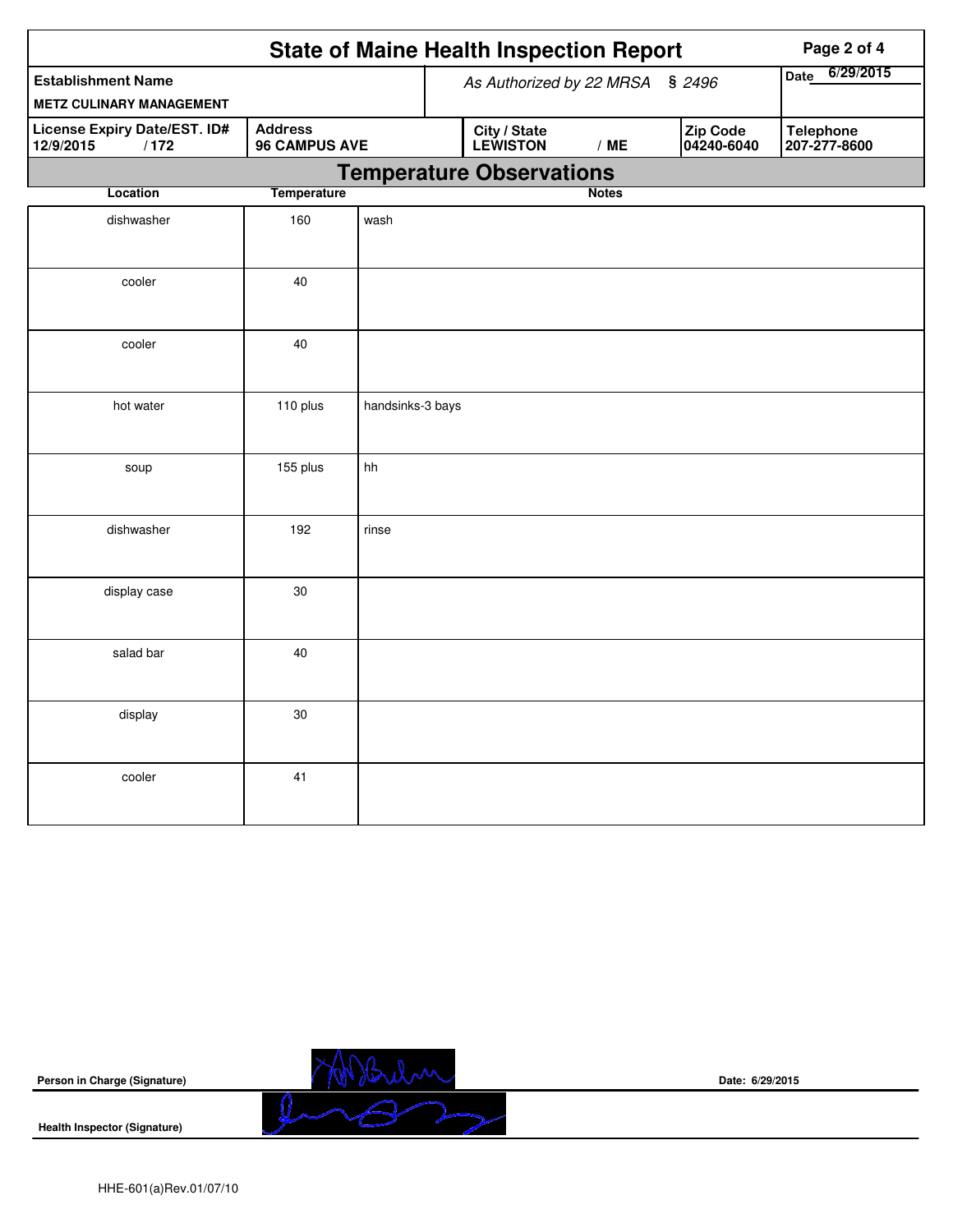|                                                              |                                        | <b>State of Maine Health Inspection Report</b> |  | Page 2 of 4                     |              |                          |                                  |
|--------------------------------------------------------------|----------------------------------------|------------------------------------------------|--|---------------------------------|--------------|--------------------------|----------------------------------|
| <b>Establishment Name</b><br><b>METZ CULINARY MANAGEMENT</b> |                                        | As Authorized by 22 MRSA<br>\$2496             |  |                                 |              | 6/29/2015<br><b>Date</b> |                                  |
| License Expiry Date/EST. ID#<br>12/9/2015<br>/172            | <b>Address</b><br><b>96 CAMPUS AVE</b> |                                                |  | <b>City / State</b><br>LEWISTON | /ME          | Zip Code<br>04240-6040   | <b>Telephone</b><br>207-277-8600 |
|                                                              |                                        |                                                |  | <b>Temperature Observations</b> |              |                          |                                  |
| Location                                                     | <b>Temperature</b>                     |                                                |  |                                 | <b>Notes</b> |                          |                                  |
| dishwasher                                                   | 160                                    | wash                                           |  |                                 |              |                          |                                  |
| cooler                                                       | 40                                     |                                                |  |                                 |              |                          |                                  |
| cooler                                                       | 40                                     |                                                |  |                                 |              |                          |                                  |
| hot water                                                    | 110 plus                               | handsinks-3 bays                               |  |                                 |              |                          |                                  |
| soup                                                         | 155 plus                               | hh                                             |  |                                 |              |                          |                                  |
| dishwasher                                                   | 192                                    | rinse                                          |  |                                 |              |                          |                                  |
| display case                                                 | 30                                     |                                                |  |                                 |              |                          |                                  |
| salad bar                                                    | 40                                     |                                                |  |                                 |              |                          |                                  |
| display                                                      | 30                                     |                                                |  |                                 |              |                          |                                  |
| cooler                                                       | 41                                     |                                                |  |                                 |              |                          |                                  |

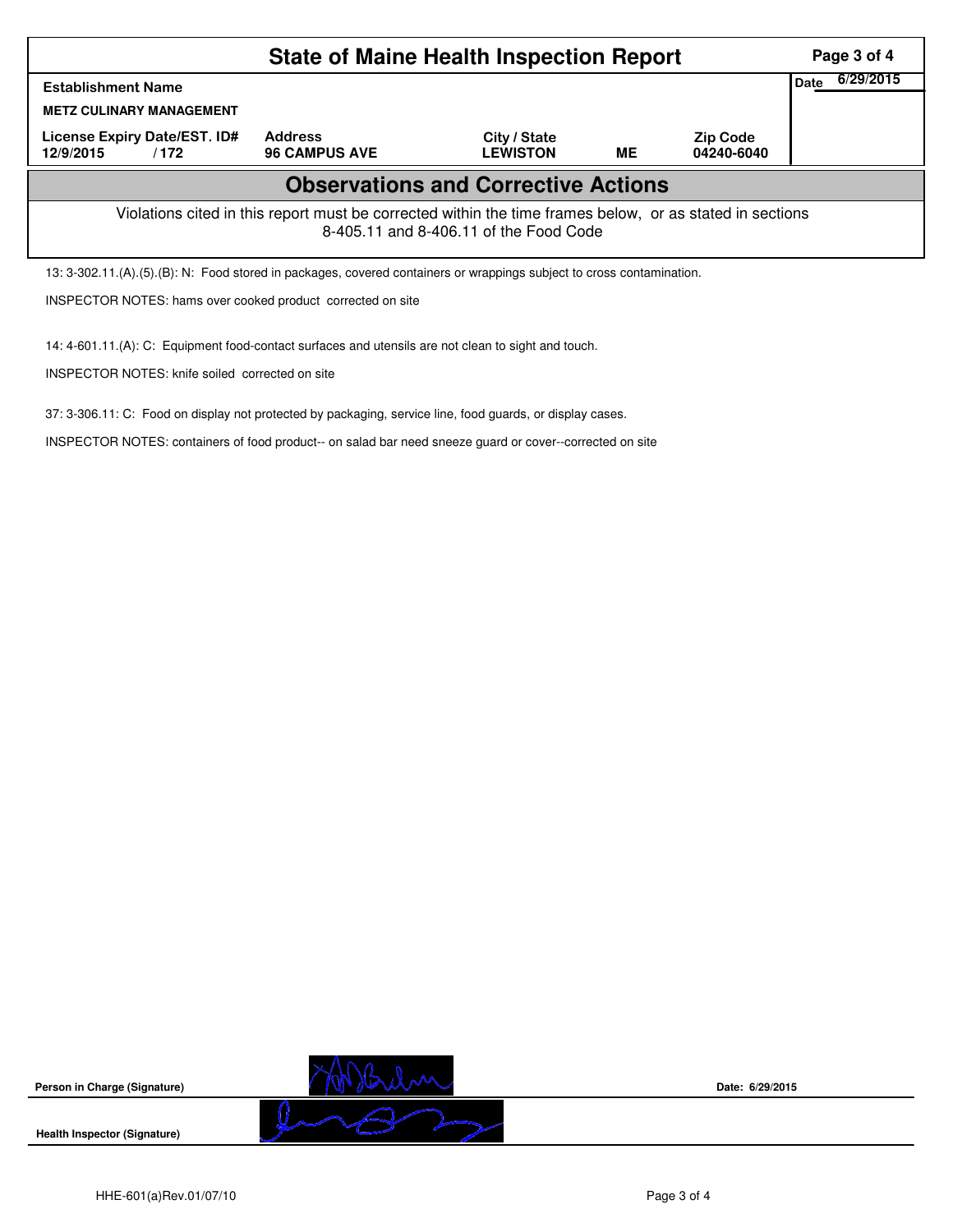|                                                                                                                                                    | Page 3 of 4                            |                                 |    |                               |      |           |  |  |
|----------------------------------------------------------------------------------------------------------------------------------------------------|----------------------------------------|---------------------------------|----|-------------------------------|------|-----------|--|--|
| <b>Establishment Name</b>                                                                                                                          |                                        |                                 |    |                               | Date | 6/29/2015 |  |  |
| <b>METZ CULINARY MANAGEMENT</b>                                                                                                                    |                                        |                                 |    |                               |      |           |  |  |
| License Expiry Date/EST. ID#<br>12/9/2015<br>/172                                                                                                  | <b>Address</b><br><b>96 CAMPUS AVE</b> | City / State<br><b>LEWISTON</b> | ME | <b>Zip Code</b><br>04240-6040 |      |           |  |  |
| <b>Observations and Corrective Actions</b>                                                                                                         |                                        |                                 |    |                               |      |           |  |  |
| Violations cited in this report must be corrected within the time frames below, or as stated in sections<br>8-405.11 and 8-406.11 of the Food Code |                                        |                                 |    |                               |      |           |  |  |
| 13: 3-302.11.(A).(5).(B): N: Food stored in packages, covered containers or wrappings subject to cross contamination.                              |                                        |                                 |    |                               |      |           |  |  |
|                                                                                                                                                    |                                        |                                 |    |                               |      |           |  |  |

INSPECTOR NOTES: hams over cooked product corrected on site

14: 4-601.11.(A): C: Equipment food-contact surfaces and utensils are not clean to sight and touch.

INSPECTOR NOTES: knife soiled corrected on site

37: 3-306.11: C: Food on display not protected by packaging, service line, food guards, or display cases.

INSPECTOR NOTES: containers of food product-- on salad bar need sneeze guard or cover--corrected on site



**Health Inspector (Signature)** 



**Date: 6/29/2015**